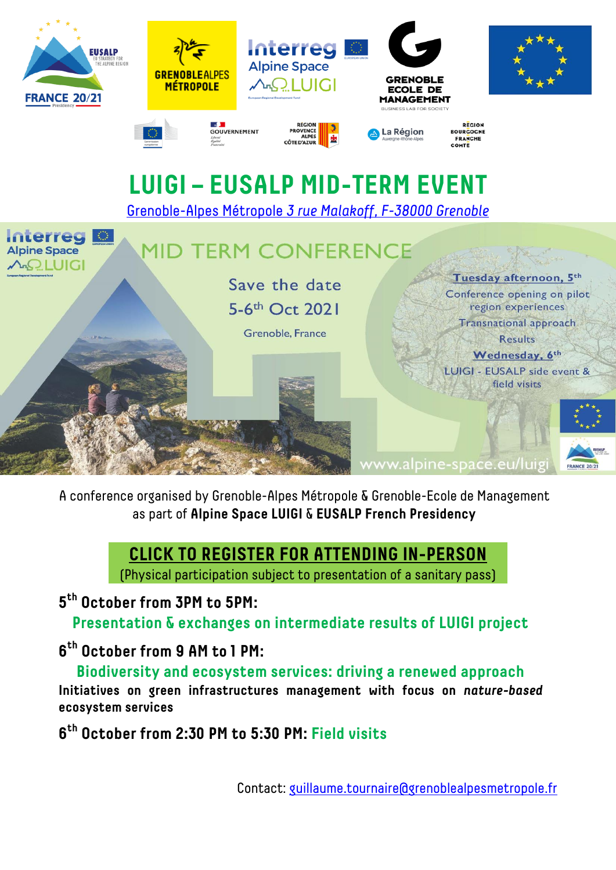

A conference organised by Grenoble-Alpes Métropole & Grenoble-Ecole de Management as part of **Alpine Space LUIGI** & **EUSALP French Presidency**

## **[CLICK TO REGISTER FOR ATTENDING I](https://docs.google.com/forms/d/e/1FAIpQLSenVXw5vMcxwEnOOYj1DDduW98QMo0ddebBd27--7oBuuATaA/viewform?vc=0&c=0&w=1&flr=0)N-PERSON**

(Physical participation subject to presentation of a sanitary pass)

**5 th October from 3PM to 5PM:**

**Presentation & exchanges on intermediate results of LUIGI project**

**6 th October from 9 AM to 1 PM:**

**Biodiversity and ecosystem services: driving a renewed approach Initiatives on green infrastructures management with focus on** *nature-based* **ecosystem services**

**6 th October from 2:30 PM to 5:30 PM: Field visits**

Contact: [guillaume.tournaire@grenoblealpesmetropole.fr](mailto:guillaume.tournaire@grenoblealpesmetropole.fr)